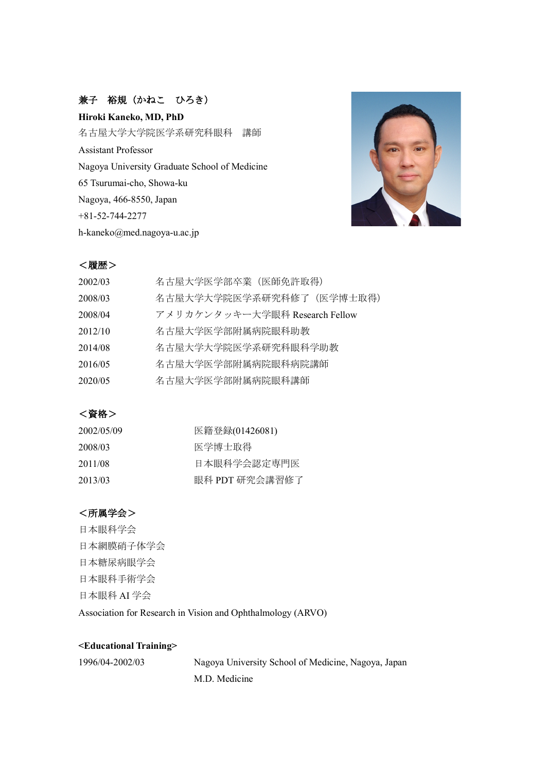# 兼子 裕規(かねこ ひろき)

**Hiroki Kaneko, MD, PhD** 名古屋大学大学院医学系研究科眼科 講師 Assistant Professor Nagoya University Graduate School of Medicine 65 Tsurumai-cho, Showa-ku Nagoya, 466-8550, Japan +81-52-744-2277 h-kaneko@med.nagoya-u.ac.jp



## <履歴>

| 2002/03 | 名古屋大学医学部卒業 (医師免許取得)            |
|---------|--------------------------------|
| 2008/03 | 名古屋大学大学院医学系研究科修了(医学博士取得)       |
| 2008/04 | アメリカケンタッキー大学眼科 Research Fellow |
| 2012/10 | 名古屋大学医学部附属病院眼科助教               |
| 2014/08 | 名古屋大学大学院医学系研究科眼科学助教            |
| 2016/05 | 名古屋大学医学部附属病院眼科病院講師             |
| 2020/05 | 名古屋大学医学部附属病院眼科講師               |

## <資格>

| 2002/05/09 | 医籍登録(01426081) |
|------------|----------------|
| 2008/03    | 医学博士取得         |
| 2011/08    | 日本眼科学会認定専門医    |
| 2013/03    | 眼科 PDT 研究会講習修了 |

## <所属学会>

日本眼科学会 日本網膜硝子体学会 日本糖尿病眼学会 日本眼科手術学会 日本眼科 AI 学会 Association for Research in Vision and Ophthalmology (ARVO)

### **<Educational Training>**

Nagoya University School of Medicine, Nagoya, Japan M.D. Medicine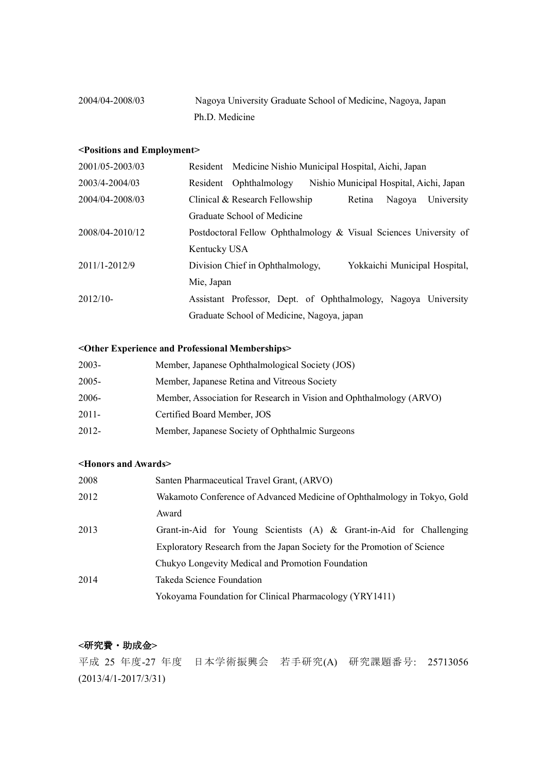| 2004/04-2008/03 | Nagoya University Graduate School of Medicine, Nagoya, Japan |
|-----------------|--------------------------------------------------------------|
|                 | Ph.D. Medicine                                               |

### **<Positions and Employment>**

| 2001/05-2003/03 |              | Resident Medicine Nishio Municipal Hospital, Aichi, Japan         |                                         |        |                               |
|-----------------|--------------|-------------------------------------------------------------------|-----------------------------------------|--------|-------------------------------|
| 2003/4-2004/03  | Resident     | Ophthalmology                                                     | Nishio Municipal Hospital, Aichi, Japan |        |                               |
| 2004/04-2008/03 |              | Clinical & Research Fellowship                                    | Retina                                  | Nagoya | University                    |
|                 |              | Graduate School of Medicine                                       |                                         |        |                               |
| 2008/04-2010/12 |              | Postdoctoral Fellow Ophthalmology & Visual Sciences University of |                                         |        |                               |
|                 | Kentucky USA |                                                                   |                                         |        |                               |
| 2011/1-2012/9   |              | Division Chief in Ophthalmology,                                  |                                         |        | Yokkaichi Municipal Hospital, |
|                 | Mie, Japan   |                                                                   |                                         |        |                               |
| $2012/10-$      |              | Assistant Professor, Dept. of Ophthalmology, Nagoya University    |                                         |        |                               |
|                 |              | Graduate School of Medicine, Nagoya, japan                        |                                         |        |                               |

### **<Other Experience and Professional Memberships>**

| $2003 -$ | Member, Japanese Ophthalmological Society (JOS)                     |
|----------|---------------------------------------------------------------------|
| 2005-    | Member, Japanese Retina and Vitreous Society                        |
| 2006-    | Member, Association for Research in Vision and Ophthalmology (ARVO) |
| 2011-    | Certified Board Member, JOS                                         |
| 2012-    | Member, Japanese Society of Ophthalmic Surgeons                     |

### **<Honors and Awards>**

| 2008 | Santen Pharmaceutical Travel Grant, (ARVO)                               |
|------|--------------------------------------------------------------------------|
| 2012 | Wakamoto Conference of Advanced Medicine of Ophthalmology in Tokyo, Gold |
|      | Award                                                                    |
| 2013 | Grant-in-Aid for Young Scientists (A) $\&$ Grant-in-Aid for Challenging  |
|      | Exploratory Research from the Japan Society for the Promotion of Science |
|      | Chukyo Longevity Medical and Promotion Foundation                        |
| 2014 | Takeda Science Foundation                                                |
|      | Yokoyama Foundation for Clinical Pharmacology (YRY1411)                  |

# **<**研究費・助成金**>**

平成 25 年度-27 年度 日本学術振興会 若手研究(A) 研究課題番号: 25713056 (2013/4/1-2017/3/31)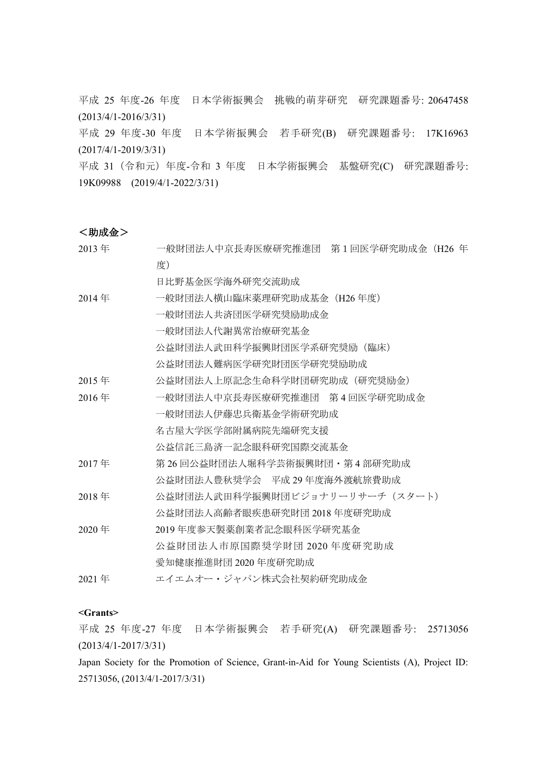平成 25 年度-26 年度 日本学術振興会 挑戦的萌芽研究 研究課題番号: 20647458 (2013/4/1-2016/3/31)

平成 29 年度-30 年度 日本学術振興会 若手研究(B) 研究課題番号: 17K16963 (2017/4/1-2019/3/31)

平成 31 (令和元) 年度-令和 3 年度 日本学術振興会 基盤研究(C) 研究課題番号: 19K09988 (2019/4/1-2022/3/31)

### <助成金>

| 2013年 | 一般財団法人中京長寿医療研究推進団 第1回医学研究助成金(H26 年 |
|-------|------------------------------------|
|       | 度)                                 |
|       | 日比野基金医学海外研究交流助成                    |
| 2014年 | 一般財団法人横山臨床薬理研究助成基金(H26年度)          |
|       | 一般財団法人共済団医学研究奨励助成金                 |
|       | 一般財団法人代謝異常治療研究基金                   |
|       | 公益財団法人武田科学振興財団医学系研究奨励(臨床)          |
|       | 公益財団法人難病医学研究財団医学研究奨励助成             |
| 2015年 | 公益財団法人上原記念生命科学財団研究助成(研究奨励金)        |
| 2016年 | 一般財団法人中京長寿医療研究推進団 第4回医学研究助成金       |
|       | 一般財団法人伊藤忠兵衛基金学術研究助成                |
|       | 名古屋大学医学部附属病院先端研究支援                 |
|       | 公益信託三島済一記念眼科研究国際交流基金               |
| 2017年 | 第 26 回公益財団法人堀科学芸術振興財団・第 4 部研究助成    |
|       | 公益財団法人豊秋奨学会 平成 29 年度海外渡航旅費助成       |
| 2018年 | 公益財団法人武田科学振興財団ビジョナリーリサーチ (スタート)    |
|       | 公益財団法人高齢者眼疾患研究財団 2018 年度研究助成       |
| 2020年 | 2019 年度参天製薬創業者記念眼科医学研究基金           |
|       | 公益財団法人市原国際奨学財団 2020 年度研究助成         |
|       | 愛知健康推進財団 2020 年度研究助成               |
| 2021年 | エイエムオー・ジャパン株式会社契約研究助成金             |

#### **<Grants>**

平成 25 年度-27 年度 日本学術振興会 若手研究(A) 研究課題番号: 25713056 (2013/4/1-2017/3/31)

Japan Society for the Promotion of Science, Grant-in-Aid for Young Scientists (A), Project ID: 25713056, (2013/4/1-2017/3/31)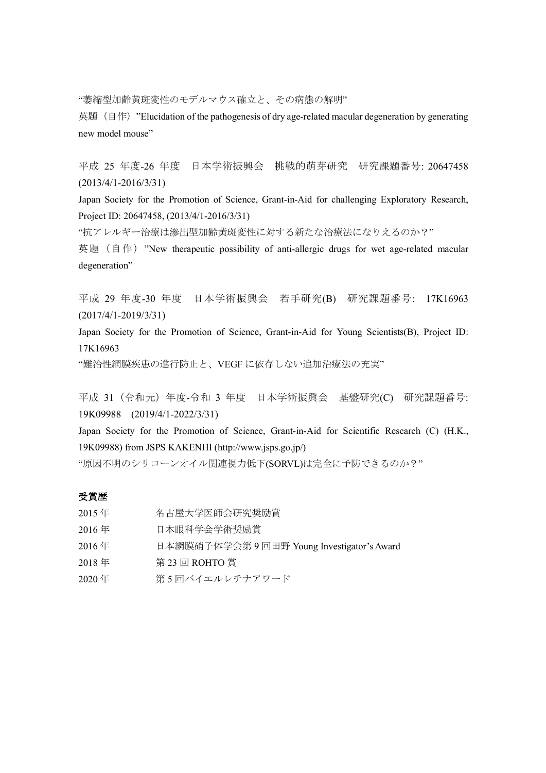"萎縮型加齢黄斑変性のモデルマウス確立と、その病態の解明"

英題 (自作) "Elucidation of the pathogenesis of dry age-related macular degeneration by generating new model mouse"

平成 25 年度-26 年度 日本学術振興会 挑戦的萌芽研究 研究課題番号: 20647458 (2013/4/1-2016/3/31)

Japan Society for the Promotion of Science, Grant-in-Aid for challenging Exploratory Research, Project ID: 20647458, (2013/4/1-2016/3/31)

"抗アレルギー治療は滲出型加齢黄斑変性に対する新たな治療法になりえるのか?"

英題 (自作) "New therapeutic possibility of anti-allergic drugs for wet age-related macular degeneration"

平成 29 年度-30 年度 日本学術振興会 若手研究(B) 研究課題番号: 17K16963 (2017/4/1-2019/3/31)

Japan Society for the Promotion of Science, Grant-in-Aid for Young Scientists(B), Project ID: 17K16963

"難治性網膜疾患の進行防止と、VEGF に依存しない追加治療法の充実"

平成 31 (令和元) 年度-令和 3 年度 日本学術振興会 基盤研究(C) 研究課題番号: 19K09988 (2019/4/1-2022/3/31)

Japan Society for the Promotion of Science, Grant-in-Aid for Scientific Research (C) (H.K., 19K09988) from JSPS KAKENHI (http://www.jsps.go.jp/)

"原因不明のシリコーンオイル関連視力低下(SORVL)は完全に予防できるのか?"

#### 受賞歴

- 2015 年 名古屋大学医師会研究奨励賞
- 2016 年 日本眼科学会学術奨励賞
- 2016 年 日本網膜硝子体学会第 9 回田野 Young Investigator's Award
- 2018 年 第 23 回 ROHTO 賞
- 2020年 第5回バイエルレチナアワード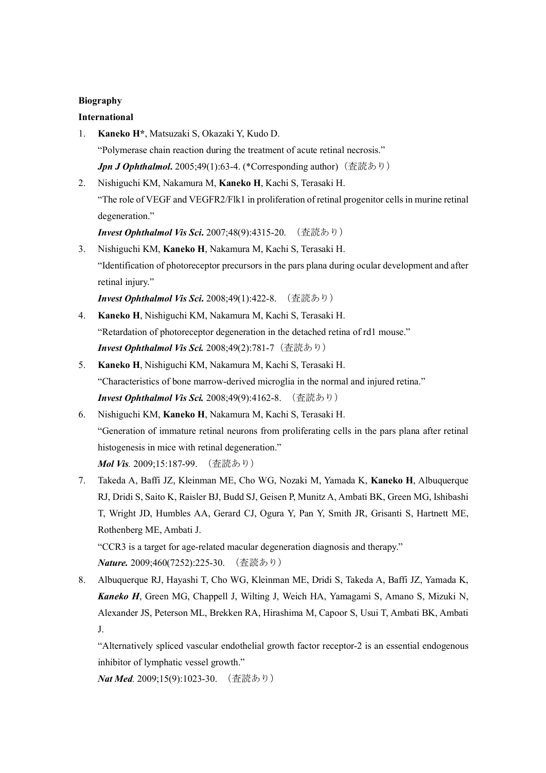## **Biography**

### **International**

- 1. **Kaneko H\***, Matsuzaki S, Okazaki Y, Kudo D. "Polymerase chain reaction during the treatment of acute retinal necrosis." *Jpn J Ophthalmol*. 2005;49(1):63-4. (\*Corresponding author) (査読あり)
- 2. Nishiguchi KM, Nakamura M, **Kaneko H**, Kachi S, Terasaki H. "The role of VEGF and VEGFR2/Flk1 in proliferation of retinal progenitor cells in murine retinal degeneration."

*Invest Ophthalmol Vis Sci***.** 2007;48(9):4315-20. (査読あり)

3. Nishiguchi KM, **Kaneko H**, Nakamura M, Kachi S, Terasaki H. "Identification of photoreceptor precursors in the pars plana during ocular development and after retinal injury."

*Invest Ophthalmol Vis Sci***.** 2008;49(1):422-8. (査読あり)

- 4. **Kaneko H**, Nishiguchi KM, Nakamura M, Kachi S, Terasaki H. "Retardation of photoreceptor degeneration in the detached retina of rd1 mouse." **Invest Ophthalmol Vis Sci.** 2008;49(2):781-7 (査読あり)
- 5. **Kaneko H**, Nishiguchi KM, Nakamura M, Kachi S, Terasaki H. "Characteristics of bone marrow-derived microglia in the normal and injured retina." *Invest Ophthalmol Vis Sci.* 2008;49(9):4162-8. (査読あり)
- 6. Nishiguchi KM, **Kaneko H**, Nakamura M, Kachi S, Terasaki H. "Generation of immature retinal neurons from proliferating cells in the pars plana after retinal histogenesis in mice with retinal degeneration." *Mol Vis.* 2009;15:187-99. (査読あり)
- 7. Takeda A, Baffi JZ, Kleinman ME, Cho WG, Nozaki M, Yamada K, **Kaneko H**, Albuquerque RJ, Dridi S, Saito K, Raisler BJ, Budd SJ, Geisen P, Munitz A, Ambati BK, Green MG, Ishibashi T, Wright JD, Humbles AA, Gerard CJ, Ogura Y, Pan Y, Smith JR, Grisanti S, Hartnett ME, Rothenberg ME, Ambati J.

"CCR3 is a target for age-related macular degeneration diagnosis and therapy." *Nature.* 2009;460(7252):225-30. (査読あり)

8. Albuquerque RJ, Hayashi T, Cho WG, Kleinman ME, Dridi S, Takeda A, Baffi JZ, Yamada K, *Kaneko H*, Green MG, Chappell J, Wilting J, Weich HA, Yamagami S, Amano S, Mizuki N, Alexander JS, Peterson ML, Brekken RA, Hirashima M, Capoor S, Usui T, Ambati BK, Ambati J.

"Alternatively spliced vascular endothelial growth factor receptor-2 is an essential endogenous inhibitor of lymphatic vessel growth."

*Nat Med.* 2009;15(9):1023-30. (査読あり)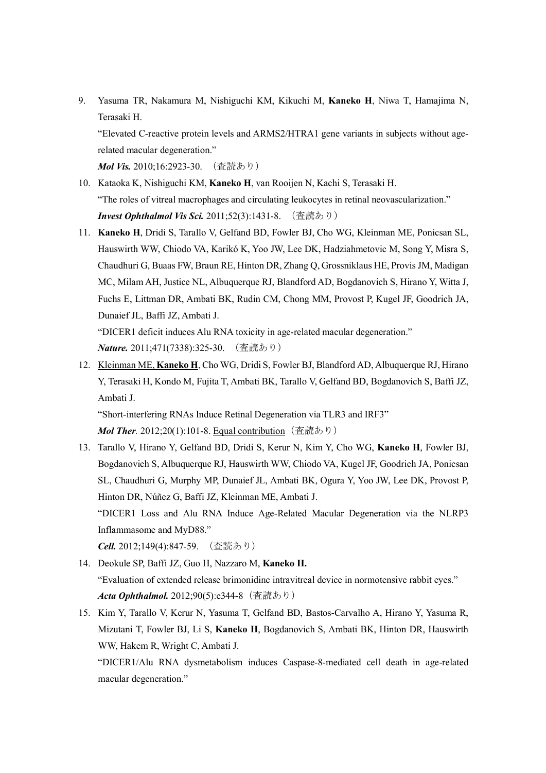9. Yasuma TR, Nakamura M, Nishiguchi KM, Kikuchi M, **Kaneko H**, Niwa T, Hamajima N, Terasaki H.

"Elevated C-reactive protein levels and ARMS2/HTRA1 gene variants in subjects without agerelated macular degeneration."

*Mol Vis.* 2010;16:2923-30. (査読あり)

- 10. Kataoka K, Nishiguchi KM, **Kaneko H**, van Rooijen N, Kachi S, Terasaki H. "The roles of vitreal macrophages and circulating leukocytes in retinal neovascularization." *Invest Ophthalmol Vis Sci.* 2011;52(3):1431-8. (査読あり)
- 11. **Kaneko H**, Dridi S, Tarallo V, Gelfand BD, Fowler BJ, Cho WG, Kleinman ME, Ponicsan SL, Hauswirth WW, Chiodo VA, Karikó K, Yoo JW, Lee DK, Hadziahmetovic M, Song Y, Misra S, Chaudhuri G, Buaas FW, Braun RE, Hinton DR, Zhang Q, Grossniklaus HE, Provis JM, Madigan MC, Milam AH, Justice NL, Albuquerque RJ, Blandford AD, Bogdanovich S, Hirano Y, Witta J, Fuchs E, Littman DR, Ambati BK, Rudin CM, Chong MM, Provost P, Kugel JF, Goodrich JA, Dunaief JL, Baffi JZ, Ambati J.

"DICER1 deficit induces Alu RNA toxicity in age-related macular degeneration." *Nature.* 2011;471(7338):325-30. (査読あり)

12. Kleinman ME, **Kaneko H**, Cho WG, Dridi S, Fowler BJ, Blandford AD, Albuquerque RJ, Hirano Y, Terasaki H, Kondo M, Fujita T, Ambati BK, Tarallo V, Gelfand BD, Bogdanovich S, Baffi JZ, Ambati J.

"Short-interfering RNAs Induce Retinal Degeneration via TLR3 and IRF3" *Mol Ther.* 2012;20(1):101-8. Equal contribution (査読あり)

13. Tarallo V, Hirano Y, Gelfand BD, Dridi S, Kerur N, Kim Y, Cho WG, **Kaneko H**, Fowler BJ, Bogdanovich S, Albuquerque RJ, Hauswirth WW, Chiodo VA, Kugel JF, Goodrich JA, Ponicsan SL, Chaudhuri G, Murphy MP, Dunaief JL, Ambati BK, Ogura Y, Yoo JW, Lee DK, Provost P, Hinton DR, Núñez G, Baffi JZ, Kleinman ME, Ambati J. "DICER1 Loss and Alu RNA Induce Age-Related Macular Degeneration via the NLRP3 Inflammasome and MyD88."

*Cell.* 2012;149(4):847-59. (査読あり)

- 14. Deokule SP, Baffi JZ, Guo H, Nazzaro M, **Kaneko H.** "Evaluation of extended release brimonidine intravitreal device in normotensive rabbit eyes." *Acta Ophthalmol.* 2012;90(5):e344-8 (査読あり)
- 15. Kim Y, Tarallo V, Kerur N, Yasuma T, Gelfand BD, Bastos-Carvalho A, Hirano Y, Yasuma R, Mizutani T, Fowler BJ, Li S, **Kaneko H**, Bogdanovich S, Ambati BK, Hinton DR, Hauswirth WW, Hakem R, Wright C, Ambati J.

"DICER1/Alu RNA dysmetabolism induces Caspase-8-mediated cell death in age-related macular degeneration."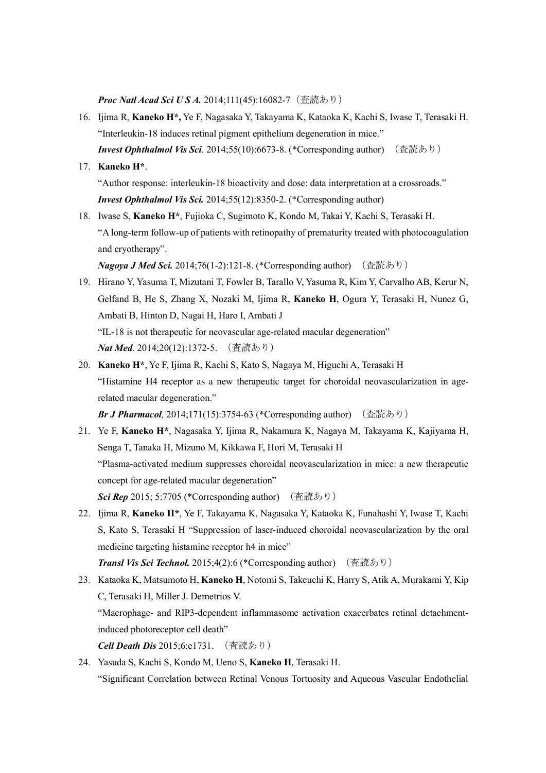**Proc Natl Acad Sci U S A.** 2014:111(45):16082-7 (査読あり)

16. Ijima R, **Kaneko H\*,** Ye F, Nagasaka Y, Takayama K, Kataoka K, Kachi S, Iwase T, Terasaki H. "Interleukin-18 induces retinal pigment epithelium degeneration in mice." *Invest Ophthalmol Vis Sci.* 2014;55(10):6673-8. (\*Corresponding author) (査読あり)

### 17. **Kaneko H\***.

"Author response: interleukin-18 bioactivity and dose: data interpretation at a crossroads." *Invest Ophthalmol Vis Sci.* 2014;55(12):8350-2. (\*Corresponding author)

18. Iwase S, **Kaneko H\***, Fujioka C, Sugimoto K, Kondo M, Takai Y, Kachi S, Terasaki H. "A long-term follow-up of patients with retinopathy of prematurity treated with photocoagulation and cryotherapy".

*Nagoya J Med Sci.* 2014;76(1-2):121-8. (\*Corresponding author) (査読あり)

- 19. Hirano Y, Yasuma T, Mizutani T, Fowler B, Tarallo V, Yasuma R, Kim Y, Carvalho AB, Kerur N, Gelfand B, He S, Zhang X, Nozaki M, Ijima R, **Kaneko H**, Ogura Y, Terasaki H, Nunez G, Ambati B, Hinton D, Nagai H, Haro I, Ambati J "IL-18 is not therapeutic for neovascular age-related macular degeneration" *Nat Med.* 2014;20(12):1372-5. (査読あり)
- 20. **Kaneko H\***, Ye F, Ijima R, Kachi S, Kato S, Nagaya M, Higuchi A, Terasaki H "Histamine H4 receptor as a new therapeutic target for choroidal neovascularization in agerelated macular degeneration."

*Br J Pharmacol,* 2014;171(15):3754-63 (\*Corresponding author) (査読あり)

- 21. Ye F, **Kaneko H\***, Nagasaka Y, Ijima R, Nakamura K, Nagaya M, Takayama K, Kajiyama H, Senga T, Tanaka H, Mizuno M, Kikkawa F, Hori M, Terasaki H "Plasma-activated medium suppresses choroidal neovascularization in mice: a new therapeutic concept for age-related macular degeneration" **Sci Rep** 2015; 5:7705 (\*Corresponding author) (査読あり)
- 22. Ijima R, **Kaneko H\***, Ye F, Takayama K, Nagasaka Y, Kataoka K, Funahashi Y, Iwase T, Kachi S, Kato S, Terasaki H "Suppression of laser-induced choroidal neovascularization by the oral medicine targeting histamine receptor h4 in mice"

*Transl Vis Sci Technol.* 2015;4(2):6 (\*Corresponding author) (査読あり)

- 23. Kataoka K, Matsumoto H, **Kaneko H**, Notomi S, Takeuchi K, Harry S, Atik A, Murakami Y, Kip C, Terasaki H, Miller J. Demetrios V. "Macrophage- and RIP3-dependent inflammasome activation exacerbates retinal detachmentinduced photoreceptor cell death" *Cell Death Dis* 2015;6:e1731. (査読あり)
- 24. Yasuda S, Kachi S, Kondo M, Ueno S, **Kaneko H**, Terasaki H. "Significant Correlation between Retinal Venous Tortuosity and Aqueous Vascular Endothelial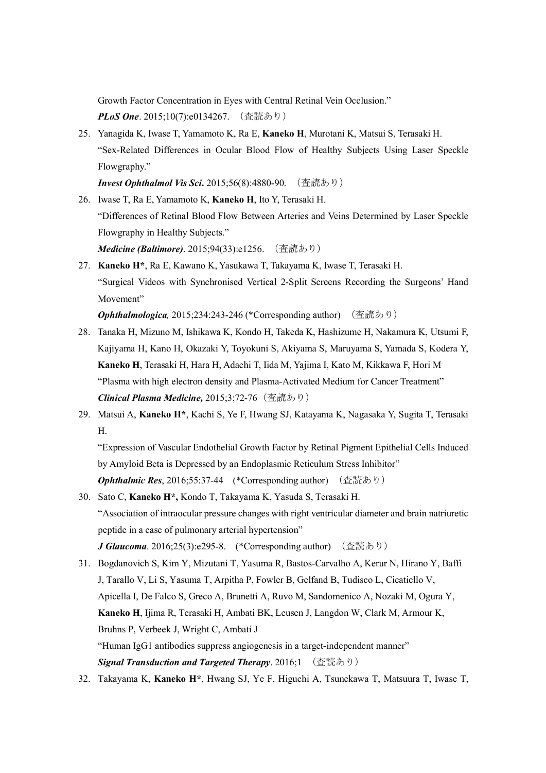Growth Factor Concentration in Eyes with Central Retinal Vein Occlusion." *PLoS One.* 2015:10(7):e0134267. (査読あり)

25. Yanagida K, Iwase T, Yamamoto K, Ra E, **Kaneko H**, Murotani K, Matsui S, Terasaki H. "Sex-Related Differences in Ocular Blood Flow of Healthy Subjects Using Laser Speckle Flowgraphy."

*Invest Ophthalmol Vis Sci***.** 2015;56(8):4880-90. (査読あり)

- 26. Iwase T, Ra E, Yamamoto K, **Kaneko H**, Ito Y, Terasaki H. "Differences of Retinal Blood Flow Between Arteries and Veins Determined by Laser Speckle Flowgraphy in Healthy Subjects." *Medicine (Baltimore)*. 2015;94(33):e1256. (査読あり)
- 27. **Kaneko H\***, Ra E, Kawano K, Yasukawa T, Takayama K, Iwase T, Terasaki H. "Surgical Videos with Synchronised Vertical 2-Split Screens Recording the Surgeons' Hand Movement"

*Ophthalmologica,* 2015;234:243-246 (\*Corresponding author) (査読あり)

- 28. Tanaka H, Mizuno M, Ishikawa K, Kondo H, Takeda K, Hashizume H, Nakamura K, Utsumi F, Kajiyama H, Kano H, Okazaki Y, Toyokuni S, Akiyama S, Maruyama S, Yamada S, Kodera Y, **Kaneko H**, Terasaki H, Hara H, Adachi T, Iida M, Yajima I, Kato M, Kikkawa F, Hori M "Plasma with high electron density and Plasma-Activated Medium for Cancer Treatment" *Clinical Plasma Medicine,* 2015;3;72-76(査読あり)
- 29. Matsui A, **Kaneko H\***, Kachi S, Ye F, Hwang SJ, Katayama K, Nagasaka Y, Sugita T, Terasaki H.

"Expression of Vascular Endothelial Growth Factor by Retinal Pigment Epithelial Cells Induced by Amyloid Beta is Depressed by an Endoplasmic Reticulum Stress Inhibitor"

**Ophthalmic Res**, 2016;55:37-44 (\*Corresponding author) (査読あり)

- 30. Sato C, **Kaneko H\*,** Kondo T, Takayama K, Yasuda S, Terasaki H. "Association of intraocular pressure changes with right ventricular diameter and brain natriuretic peptide in a case of pulmonary arterial hypertension" **J Glaucoma**. 2016;25(3):e295-8. (\*Corresponding author) (査読あり)
- 31. Bogdanovich S, Kim Y, Mizutani T, Yasuma R, Bastos-Carvalho A, Kerur N, Hirano Y, Baffi J, Tarallo V, Li S, Yasuma T, Arpitha P, Fowler B, Gelfand B, Tudisco L, Cicatiello V, Apicella I, De Falco S, Greco A, Brunetti A, Ruvo M, Sandomenico A, Nozaki M, Ogura Y, **Kaneko H**, Ijima R, Terasaki H, Ambati BK, Leusen J, Langdon W, Clark M, Armour K, Bruhns P, Verbeek J, Wright C, Ambati J "Human IgG1 antibodies suppress angiogenesis in a target-independent manner" *Signal Transduction and Targeted Therapy*. 2016;1 (査読あり)
- 32. Takayama K, **Kaneko H\***, Hwang SJ, Ye F, Higuchi A, Tsunekawa T, Matsuura T, Iwase T,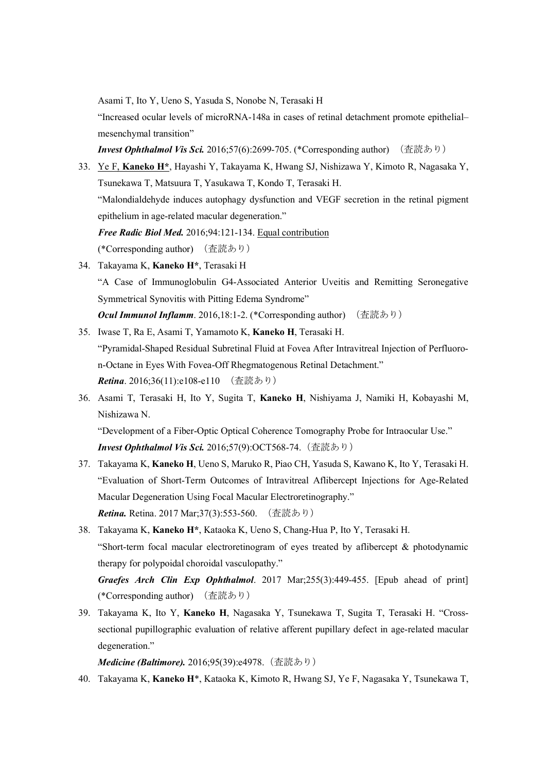Asami T, Ito Y, Ueno S, Yasuda S, Nonobe N, Terasaki H

"Increased ocular levels of microRNA-148a in cases of retinal detachment promote epithelial– mesenchymal transition"

*Invest Ophthalmol Vis Sci.* 2016;57(6):2699-705. (\*Corresponding author) (査読あり)

- 33. Ye F, **Kaneko H\***, Hayashi Y, Takayama K, Hwang SJ, Nishizawa Y, Kimoto R, Nagasaka Y, Tsunekawa T, Matsuura T, Yasukawa T, Kondo T, Terasaki H. "Malondialdehyde induces autophagy dysfunction and VEGF secretion in the retinal pigment epithelium in age-related macular degeneration." *Free Radic Biol Med.* 2016;94:121-134. Equal contribution (\*Corresponding author) (査読あり)
- 34. Takayama K, **Kaneko H\***, Terasaki H "A Case of Immunoglobulin G4-Associated Anterior Uveitis and Remitting Seronegative Symmetrical Synovitis with Pitting Edema Syndrome" **Ocul Immunol Inflamm**. 2016,18:1-2. (\*Corresponding author) (査読あり)
- 35. Iwase T, Ra E, Asami T, Yamamoto K, **Kaneko H**, Terasaki H. "Pyramidal-Shaped Residual Subretinal Fluid at Fovea After Intravitreal Injection of Perfluoron-Octane in Eyes With Fovea-Off Rhegmatogenous Retinal Detachment." **Retina**. 2016;36(11):e108-e110 (査読あり)
- 36. Asami T, Terasaki H, Ito Y, Sugita T, **Kaneko H**, Nishiyama J, Namiki H, Kobayashi M, Nishizawa N.

"Development of a Fiber-Optic Optical Coherence Tomography Probe for Intraocular Use." *Invest Ophthalmol Vis Sci.* 2016;57(9):OCT568-74.(査読あり)

- 37. Takayama K, **Kaneko H**, Ueno S, Maruko R, Piao CH, Yasuda S, Kawano K, Ito Y, Terasaki H. "Evaluation of Short-Term Outcomes of Intravitreal Aflibercept Injections for Age-Related Macular Degeneration Using Focal Macular Electroretinography." **Retina.** Retina. 2017 Mar;37(3):553-560. (査読あり)
- 38. Takayama K, **Kaneko H\***, Kataoka K, Ueno S, Chang-Hua P, Ito Y, Terasaki H. "Short-term focal macular electroretinogram of eyes treated by aflibercept & photodynamic therapy for polypoidal choroidal vasculopathy." *Graefes Arch Clin Exp Ophthalmol*. 2017 Mar;255(3):449-455. [Epub ahead of print]
- (\*Corresponding author) (査読あり) 39. Takayama K, Ito Y, **Kaneko H**, Nagasaka Y, Tsunekawa T, Sugita T, Terasaki H. "Crosssectional pupillographic evaluation of relative afferent pupillary defect in age-related macular

degeneration."

*Medicine (Baltimore).* 2016;95(39):e4978. (査読あり)

40. Takayama K, **Kaneko H**\*, Kataoka K, Kimoto R, Hwang SJ, Ye F, Nagasaka Y, Tsunekawa T,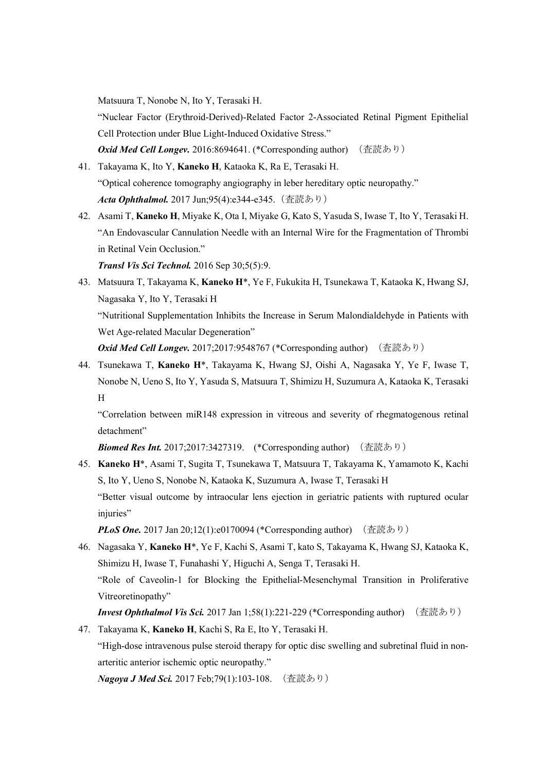Matsuura T, Nonobe N, Ito Y, Terasaki H.

"Nuclear Factor (Erythroid-Derived)-Related Factor 2-Associated Retinal Pigment Epithelial Cell Protection under Blue Light-Induced Oxidative Stress."

*Oxid Med Cell Longev.* 2016:8694641. (\*Corresponding author) (査読あり)

- 41. Takayama K, Ito Y, **Kaneko H**, Kataoka K, Ra E, Terasaki H. "Optical coherence tomography angiography in leber hereditary optic neuropathy." *Acta Ophthalmol.* 2017 Jun;95(4):e344-e345.(査読あり)
- 42. Asami T, **Kaneko H**, Miyake K, Ota I, Miyake G, Kato S, Yasuda S, Iwase T, Ito Y, Terasaki H. "An Endovascular Cannulation Needle with an Internal Wire for the Fragmentation of Thrombi in Retinal Vein Occlusion."

*Transl Vis Sci Technol.* 2016 Sep 30;5(5):9.

43. Matsuura T, Takayama K, **Kaneko H**\*, Ye F, Fukukita H, Tsunekawa T, Kataoka K, Hwang SJ, Nagasaka Y, Ito Y, Terasaki H "Nutritional Supplementation Inhibits the Increase in Serum Malondialdehyde in Patients with Wet Age-related Macular Degeneration"

*Oxid Med Cell Longev.* 2017;2017:9548767 (\*Corresponding author) (査読あり)

44. Tsunekawa T, **Kaneko H**\*, Takayama K, Hwang SJ, Oishi A, Nagasaka Y, Ye F, Iwase T, Nonobe N, Ueno S, Ito Y, Yasuda S, Matsuura T, Shimizu H, Suzumura A, Kataoka K, Terasaki H

"Correlation between miR148 expression in vitreous and severity of rhegmatogenous retinal detachment"

**Biomed Res Int.** 2017;2017:3427319. (\*Corresponding author) (査読あり)

45. **Kaneko H**\*, Asami T, Sugita T, Tsunekawa T, Matsuura T, Takayama K, Yamamoto K, Kachi S, Ito Y, Ueno S, Nonobe N, Kataoka K, Suzumura A, Iwase T, Terasaki H "Better visual outcome by intraocular lens ejection in geriatric patients with ruptured ocular injuries"

*PLoS One.* 2017 Jan 20;12(1):e0170094 (\*Corresponding author) (査読あり)

46. Nagasaka Y, **Kaneko H**\*, Ye F, Kachi S, Asami T, kato S, Takayama K, Hwang SJ, Kataoka K, Shimizu H, Iwase T, Funahashi Y, Higuchi A, Senga T, Terasaki H. "Role of Caveolin-1 for Blocking the Epithelial-Mesenchymal Transition in Proliferative Vitreoretinopathy"

*Invest Ophthalmol Vis Sci.* 2017 Jan 1;58(1):221-229 (\*Corresponding author) (査読あり)

47. Takayama K, **Kaneko H**, Kachi S, Ra E, Ito Y, Terasaki H.

"High-dose intravenous pulse steroid therapy for optic disc swelling and subretinal fluid in nonarteritic anterior ischemic optic neuropathy."

*Nagoya J Med Sci.* 2017 Feb;79(1):103-108. (査読あり)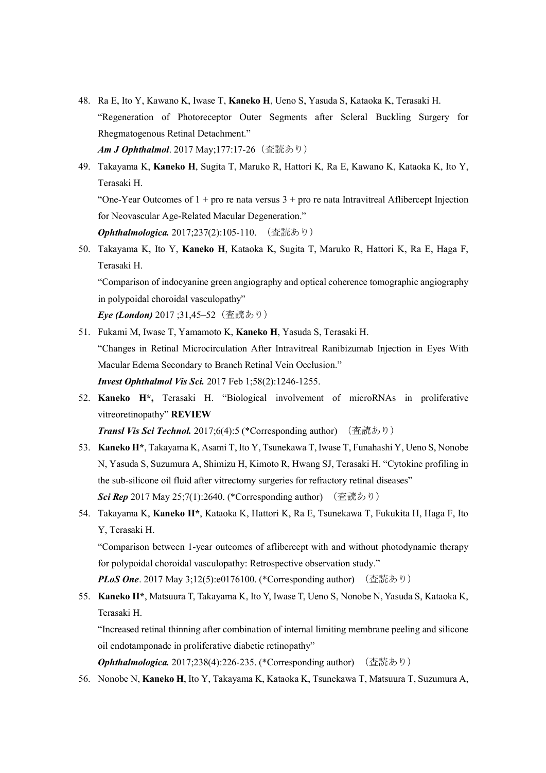- 48. Ra E, Ito Y, Kawano K, Iwase T, **Kaneko H**, Ueno S, Yasuda S, Kataoka K, Terasaki H. "Regeneration of Photoreceptor Outer Segments after Scleral Buckling Surgery for Rhegmatogenous Retinal Detachment." **Am J Ophthalmol**. 2017 May;177:17-26 (査読あり)
- 49. Takayama K, **Kaneko H**, Sugita T, Maruko R, Hattori K, Ra E, Kawano K, Kataoka K, Ito Y, Terasaki H.

"One-Year Outcomes of  $1 +$  pro re nata versus  $3 +$  pro re nata Intravitreal Aflibercept Injection for Neovascular Age-Related Macular Degeneration."

*Ophthalmologica.* 2017;237(2):105-110. (査読あり)

50. Takayama K, Ito Y, **Kaneko H**, Kataoka K, Sugita T, Maruko R, Hattori K, Ra E, Haga F, Terasaki H.

"Comparison of indocyanine green angiography and optical coherence tomographic angiography in polypoidal choroidal vasculopathy"

*Eye (London)* 2017 ;31,45–52(査読あり)

- 51. Fukami M, Iwase T, Yamamoto K, **Kaneko H**, Yasuda S, Terasaki H. "Changes in Retinal Microcirculation After Intravitreal Ranibizumab Injection in Eyes With Macular Edema Secondary to Branch Retinal Vein Occlusion." *Invest Ophthalmol Vis Sci.* 2017 Feb 1;58(2):1246-1255.
- 52. **Kaneko H\*,** Terasaki H. "Biological involvement of microRNAs in proliferative vitreoretinopathy" **REVIEW**

*Transl Vis Sci Technol.* 2017;6(4):5 (\*Corresponding author) (査読あり)

- 53. **Kaneko H\***, Takayama K, Asami T, Ito Y, Tsunekawa T, Iwase T, Funahashi Y, Ueno S, Nonobe N, Yasuda S, Suzumura A, Shimizu H, Kimoto R, Hwang SJ, Terasaki H. "Cytokine profiling in the sub-silicone oil fluid after vitrectomy surgeries for refractory retinal diseases" **Sci Rep** 2017 May 25;7(1):2640. (\*Corresponding author) (査読あり)
- 54. Takayama K, **Kaneko H\***, Kataoka K, Hattori K, Ra E, Tsunekawa T, Fukukita H, Haga F, Ito Y, Terasaki H.

"Comparison between 1-year outcomes of aflibercept with and without photodynamic therapy for polypoidal choroidal vasculopathy: Retrospective observation study."

*PLoS One.* 2017 May 3:12(5):e0176100. (\*Corresponding author) (査読あり)

55. **Kaneko H\***, Matsuura T, Takayama K, Ito Y, Iwase T, Ueno S, Nonobe N, Yasuda S, Kataoka K, Terasaki H.

"Increased retinal thinning after combination of internal limiting membrane peeling and silicone oil endotamponade in proliferative diabetic retinopathy"

**Ophthalmologica.** 2017;238(4):226-235. (\*Corresponding author) (査読あり)

56. Nonobe N, **Kaneko H**, Ito Y, Takayama K, Kataoka K, Tsunekawa T, Matsuura T, Suzumura A,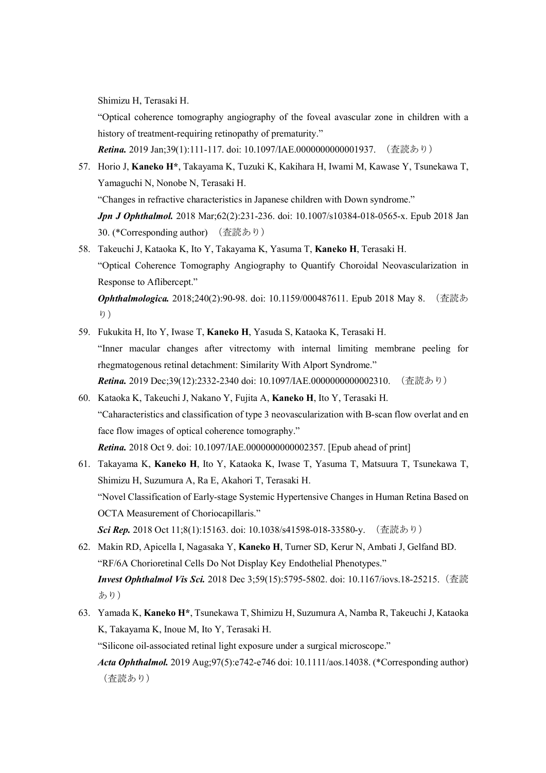Shimizu H, Terasaki H.

"Optical coherence tomography angiography of the foveal avascular zone in children with a history of treatment-requiring retinopathy of prematurity."

*Retina.* 2019 Jan;39(1):111-117. doi: 10.1097/IAE.0000000000001937. (査読あり)

57. Horio J, **Kaneko H\***, Takayama K, Tuzuki K, Kakihara H, Iwami M, Kawase Y, Tsunekawa T, Yamaguchi N, Nonobe N, Terasaki H.

"Changes in refractive characteristics in Japanese children with Down syndrome."

*Jpn J Ophthalmol.* 2018 Mar;62(2):231-236. doi: 10.1007/s10384-018-0565-x. Epub 2018 Jan 30. (\*Corresponding author) (査読あり)

58. Takeuchi J, Kataoka K, Ito Y, Takayama K, Yasuma T, **Kaneko H**, Terasaki H. "Optical Coherence Tomography Angiography to Quantify Choroidal Neovascularization in Response to Aflibercept."

*Ophthalmologica.* 2018;240(2):90-98. doi: 10.1159/000487611. Epub 2018 May 8. (査読あ  $\nu$ )

- 59. Fukukita H, Ito Y, Iwase T, **Kaneko H**, Yasuda S, Kataoka K, Terasaki H. "Inner macular changes after vitrectomy with internal limiting membrane peeling for rhegmatogenous retinal detachment: Similarity With Alport Syndrome." **Retina.** 2019 Dec;39(12):2332-2340 doi: 10.1097/IAE.0000000000002310. (査読あり)
- 60. Kataoka K, Takeuchi J, Nakano Y, Fujita A, **Kaneko H**, Ito Y, Terasaki H. "Caharacteristics and classification of type 3 neovascularization with B-scan flow overlat and en face flow images of optical coherence tomography." *Retina.* 2018 Oct 9. doi: 10.1097/IAE.0000000000002357. [Epub ahead of print]
- 61. Takayama K, **Kaneko H**, Ito Y, Kataoka K, Iwase T, Yasuma T, Matsuura T, Tsunekawa T, Shimizu H, Suzumura A, Ra E, Akahori T, Terasaki H. "Novel Classification of Early-stage Systemic Hypertensive Changes in Human Retina Based on OCTA Measurement of Choriocapillaris." *Sci Rep.* 2018 Oct 11;8(1):15163. doi: 10.1038/s41598-018-33580-y. (査読あり)
- 62. Makin RD, Apicella I, Nagasaka Y, **Kaneko H**, Turner SD, Kerur N, Ambati J, Gelfand BD. "RF/6A Chorioretinal Cells Do Not Display Key Endothelial Phenotypes." *Invest Ophthalmol Vis Sci.* 2018 Dec 3;59(15):5795-5802. doi: 10.1167/iovs.18-25215.(査読 あり)
- 63. Yamada K, **Kaneko H\***, Tsunekawa T, Shimizu H, Suzumura A, Namba R, Takeuchi J, Kataoka K, Takayama K, Inoue M, Ito Y, Terasaki H.

"Silicone oil-associated retinal light exposure under a surgical microscope."

*Acta Ophthalmol.* 2019 Aug;97(5):e742-e746 doi: 10.1111/aos.14038. (\*Corresponding author) (査読あり)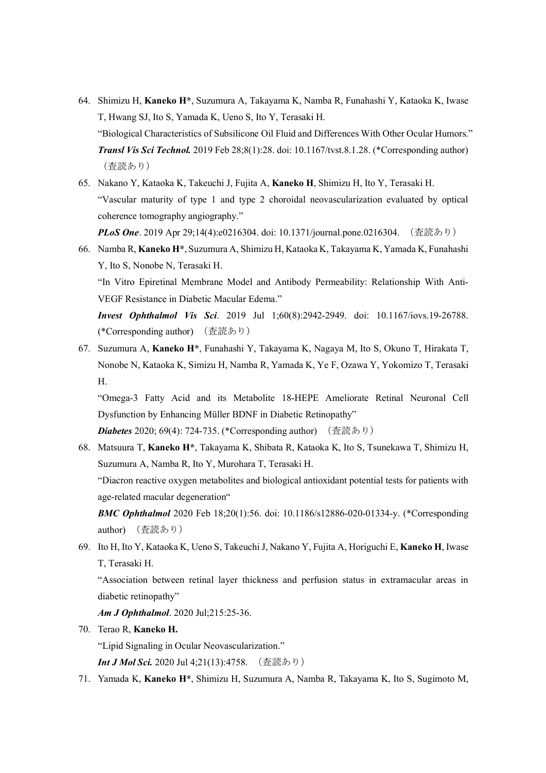- 64. Shimizu H, **Kaneko H\***, Suzumura A, Takayama K, Namba R, Funahashi Y, Kataoka K, Iwase T, Hwang SJ, Ito S, Yamada K, Ueno S, Ito Y, Terasaki H. "Biological Characteristics of Subsilicone Oil Fluid and Differences With Other Ocular Humors." *Transl Vis Sci Technol.* 2019 Feb 28;8(1):28. doi: 10.1167/tvst.8.1.28. (\*Corresponding author) (査読あり)
- 65. Nakano Y, Kataoka K, Takeuchi J, Fujita A, **Kaneko H**, Shimizu H, Ito Y, Terasaki H. "Vascular maturity of type 1 and type 2 choroidal neovascularization evaluated by optical coherence tomography angiography."

*PLoS One*. 2019 Apr 29;14(4):e0216304. doi: 10.1371/journal.pone.0216304. (査読あり)

66. Namba R, **Kaneko H\***, Suzumura A, Shimizu H, Kataoka K, Takayama K, Yamada K, Funahashi Y, Ito S, Nonobe N, Terasaki H.

"In Vitro Epiretinal Membrane Model and Antibody Permeability: Relationship With Anti-VEGF Resistance in Diabetic Macular Edema."

*Invest Ophthalmol Vis Sci*. 2019 Jul 1;60(8):2942-2949. doi: 10.1167/iovs.19-26788. (\*Corresponding author) (査読あり)

67. Suzumura A, **Kaneko H\***, Funahashi Y, Takayama K, Nagaya M, Ito S, Okuno T, Hirakata T, Nonobe N, Kataoka K, Simizu H, Namba R, Yamada K, Ye F, Ozawa Y, Yokomizo T, Terasaki H.

"Omega-3 Fatty Acid and its Metabolite 18-HEPE Ameliorate Retinal Neuronal Cell Dysfunction by Enhancing Müller BDNF in Diabetic Retinopathy"

**Diabetes** 2020; 69(4): 724-735. (\*Corresponding author) (査読あり)

68. Matsuura T, **Kaneko H\***, Takayama K, Shibata R, Kataoka K, Ito S, Tsunekawa T, Shimizu H, Suzumura A, Namba R, Ito Y, Murohara T, Terasaki H. "Diacron reactive oxygen metabolites and biological antioxidant potential tests for patients with age-related macular degeneration"

*BMC Ophthalmol* 2020 Feb 18;20(1):56. doi: 10.1186/s12886-020-01334-y. (\*Corresponding author) (査読あり)

69. Ito H, Ito Y, Kataoka K, Ueno S, Takeuchi J, Nakano Y, Fujita A, Horiguchi E, **Kaneko H**, Iwase T, Terasaki H.

"Association between retinal layer thickness and perfusion status in extramacular areas in diabetic retinopathy"

*Am J Ophthalmol*. 2020 Jul;215:25-36.

70. Terao R, **Kaneko H.**

"Lipid Signaling in Ocular Neovascularization."

*Int J Mol Sci.* 2020 Jul 4;21(13):4758. (査読あり)

71. Yamada K, **Kaneko H\***, Shimizu H, Suzumura A, Namba R, Takayama K, Ito S, Sugimoto M,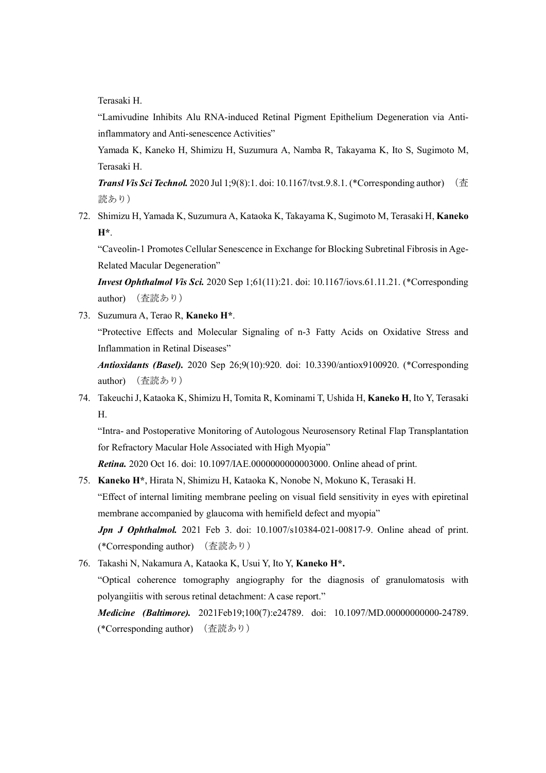Terasaki H.

"Lamivudine Inhibits Alu RNA-induced Retinal Pigment Epithelium Degeneration via Antiinflammatory and Anti-senescence Activities"

Yamada K, Kaneko H, Shimizu H, Suzumura A, Namba R, Takayama K, Ito S, Sugimoto M, Terasaki H.

*Transl Vis Sci Technol.* 2020 Jul 1;9(8):1. doi: 10.1167/tvst.9.8.1. (\*Corresponding author) (査 読あり)

72. Shimizu H, Yamada K, Suzumura A, Kataoka K, Takayama K, Sugimoto M, Terasaki H, **Kaneko H\***.

"Caveolin-1 Promotes Cellular Senescence in Exchange for Blocking Subretinal Fibrosis in Age-Related Macular Degeneration"

*Invest Ophthalmol Vis Sci.* 2020 Sep 1;61(11):21. doi: 10.1167/iovs.61.11.21. (\*Corresponding author) (査読あり)

73. Suzumura A, Terao R, **Kaneko H\***. "Protective Effects and Molecular Signaling of n-3 Fatty Acids on Oxidative Stress and Inflammation in Retinal Diseases" *Antioxidants (Basel).* 2020 Sep 26;9(10):920. doi: 10.3390/antiox9100920. (\*Corresponding

author) (査読あり)

74. Takeuchi J, Kataoka K, Shimizu H, Tomita R, Kominami T, Ushida H, **Kaneko H**, Ito Y, Terasaki H.

"Intra- and Postoperative Monitoring of Autologous Neurosensory Retinal Flap Transplantation for Refractory Macular Hole Associated with High Myopia"

*Retina.* 2020 Oct 16. doi: 10.1097/IAE.0000000000003000. Online ahead of print.

75. **Kaneko H\***, Hirata N, Shimizu H, Kataoka K, Nonobe N, Mokuno K, Terasaki H. "Effect of internal limiting membrane peeling on visual field sensitivity in eyes with epiretinal membrane accompanied by glaucoma with hemifield defect and myopia" *Jpn J Ophthalmol.* 2021 Feb 3. doi: 10.1007/s10384-021-00817-9. Online ahead of print.

(\*Corresponding author) (査読あり)

76. Takashi N, Nakamura A, Kataoka K, Usui Y, Ito Y, **Kaneko H\*.**

"Optical coherence tomography angiography for the diagnosis of granulomatosis with polyangiitis with serous retinal detachment: A case report."

*Medicine (Baltimore).* 2021Feb19;100(7):e24789. doi: 10.1097/MD.00000000000-24789. (\*Corresponding author) (査読あり)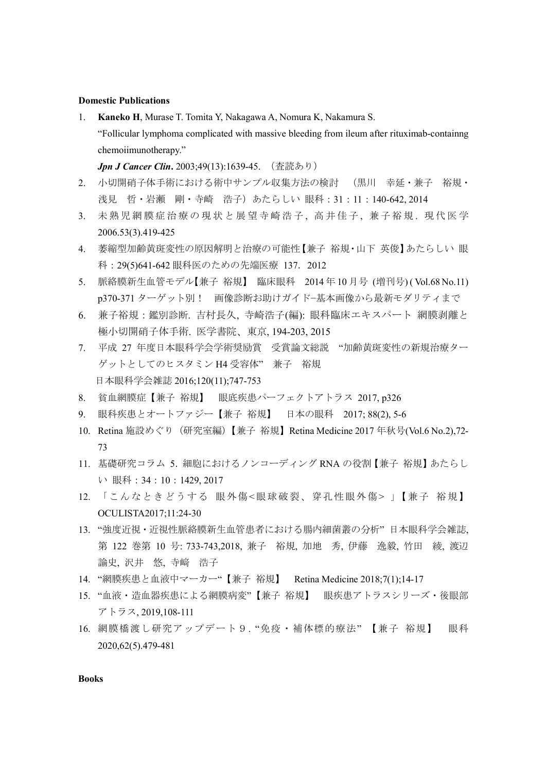#### **Domestic Publications**

1. **Kaneko H**, Murase T. Tomita Y, Nakagawa A, Nomura K, Nakamura S. "Follicular lymphoma complicated with massive bleeding from ileum after rituximab-containng chemoiimunotherapy."

*Jpn J Cancer Clin***.** 2003;49(13):1639-45. (査読あり)

- 2. 小切開硝子体手術における術中サンプル収集方法の検討 (黒川 幸延・兼子 裕規・ 浅見 哲・岩瀬 剛・寺崎 浩子)あたらしい 眼科:31:11:140-642, 2014
- 3. 未熟児網膜症治療の現状と展望寺崎浩子, 高井佳子, 兼子裕規. 現代医学 2006.53(3).419-425
- 4. 萎縮型加齢黄斑変性の原因解明と治療の可能性【兼子 裕規・山下 英俊】あたらしい 眼 科:29(5)641-642 眼科医のための先端医療 137.2012
- 5. 脈絡膜新生血管モデル【兼子 裕規】 臨床眼科 2014 年 10 月号 (増刊号) ( Vol.68 No.11) p370-371 ターゲット別! 画像診断お助けガイド−基本画像から最新モダリティまで
- 6. 兼子裕規:鑑別診断. 吉村長久, 寺崎浩子(編): 眼科臨床エキスパート 網膜剥離と 極小切開硝子体手術. 医学書院、東京, 194-203, 2015
- 7. 平成 27 年度日本眼科学会学術奨励賞 受賞論文総説 "加齢黄斑変性の新規治療ター ゲットとしてのヒスタミン H4 受容体" 兼子 裕規 日本眼科学会雑誌 2016;120(11);747-753
- 8. 貧血網膜症【兼子 裕規】 眼底疾患パーフェクトアトラス 2017, p326
- 9. 眼科疾患とオートファジー【兼子 裕規】 日本の眼科 2017; 88(2), 5-6
- 10. Retina 施設めぐり(研究室編)【兼子 裕規】Retina Medicine 2017 年秋号(Vol.6 No.2),72- 73
- 11. 基礎研究コラム 5.細胞におけるノンコーディング RNA の役割【兼子 裕規】あたらし い 眼科:34:10:1429, 2017
- 12. 「こんなときどうする 眼外傷<眼球破裂、穿孔性眼外傷> 」【兼子 裕規】 OCULISTA2017;11:24-30
- 13. "強度近視・近視性脈絡膜新生血管患者における腸内細菌叢の分析" 日本眼科学会雑誌, 第 122 巻第 10 号: 733-743,2018, 兼子 裕規, 加地 秀, 伊藤 逸毅, 竹田 綾, 渡辺 論史, 沢井 悠, 寺﨑 浩子
- 14. "網膜疾患と血液中マーカー"【兼子 裕規】 Retina Medicine 2018;7(1);14-17
- 15. "血液・造血器疾患による網膜病変"【兼子 裕規】 眼疾患アトラスシリーズ・後眼部 アトラス, 2019,108-111
- 16. 網膜橋渡し研究アップデート9. "免疫・補体標的療法" 【兼子 裕規】 眼科 2020,62(5).479-481

**Books**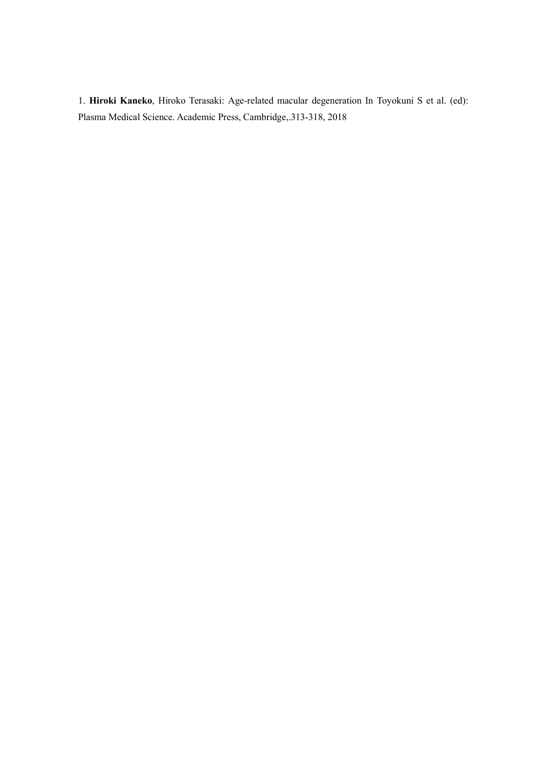1. **Hiroki Kaneko**, Hiroko Terasaki: Age-related macular degeneration In Toyokuni S et al. (ed): Plasma Medical Science. Academic Press, Cambridge,.313-318, 2018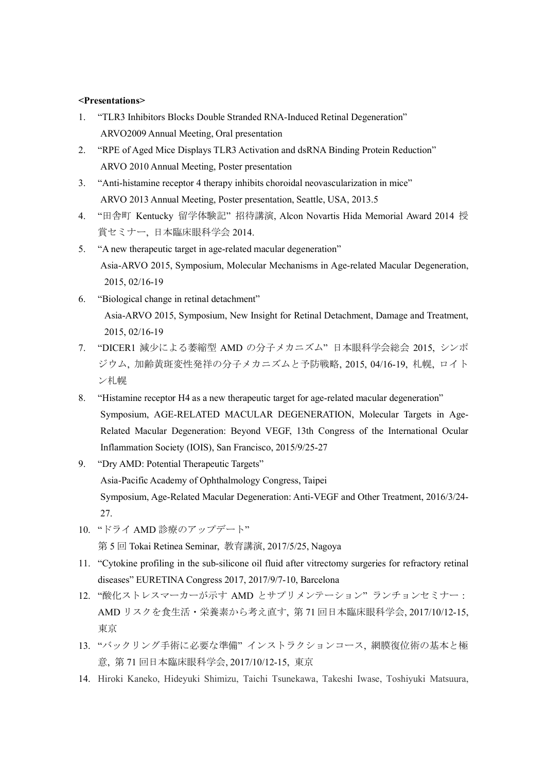#### **<Presentations>**

- 1. "TLR3 Inhibitors Blocks Double Stranded RNA-Induced Retinal Degeneration" ARVO2009 Annual Meeting, Oral presentation
- 2. "RPE of Aged Mice Displays TLR3 Activation and dsRNA Binding Protein Reduction" ARVO 2010 Annual Meeting, Poster presentation
- 3. "Anti-histamine receptor 4 therapy inhibits choroidal neovascularization in mice" ARVO 2013 Annual Meeting, Poster presentation, Seattle, USA, 2013.5
- 4. "田舎町 Kentucky 留学体験記" 招待講演, Alcon Novartis Hida Memorial Award 2014 授 賞セミナー, 日本臨床眼科学会 2014.
- 5. "A new therapeutic target in age-related macular degeneration" Asia-ARVO 2015, Symposium, Molecular Mechanisms in Age-related Macular Degeneration, 2015, 02/16-19
- 6. "Biological change in retinal detachment" Asia-ARVO 2015, Symposium, New Insight for Retinal Detachment, Damage and Treatment, 2015, 02/16-19
- 7. "DICER1 減少による萎縮型 AMD の分子メカニズム" 日本眼科学会総会 2015, シンポ ジウム, 加齢黄斑変性発祥の分子メカニズムと予防戦略, 2015, 04/16-19, 札幌, ロイト ン札幌
- 8. "Histamine receptor H4 as a new therapeutic target for age-related macular degeneration" Symposium, AGE-RELATED MACULAR DEGENERATION, Molecular Targets in Age-Related Macular Degeneration: Beyond VEGF, 13th Congress of the International Ocular Inflammation Society (IOIS), San Francisco, 2015/9/25-27
- 9. "Dry AMD: Potential Therapeutic Targets" Asia-Pacific Academy of Ophthalmology Congress, Taipei Symposium, Age-Related Macular Degeneration: Anti-VEGF and Other Treatment, 2016/3/24- 27.
- 10. "ドライ AMD 診療のアップデート"

第 5 回 Tokai Retinea Seminar, 教育講演, 2017/5/25, Nagoya

- 11. "Cytokine profiling in the sub-silicone oil fluid after vitrectomy surgeries for refractory retinal diseases" EURETINA Congress 2017, 2017/9/7-10, Barcelona
- 12. "酸化ストレスマーカーが示す AMD とサプリメンテーション" ランチョンセミナー: AMD リスクを食生活・栄養素から考え直す, 第 71 回日本臨床眼科学会, 2017/10/12-15, 東京
- 13. "バックリング手術に必要な準備" インストラクションコース, 網膜復位術の基本と極 意, 第 71 回日本臨床眼科学会, 2017/10/12-15, 東京
- 14. Hiroki Kaneko, Hideyuki Shimizu, Taichi Tsunekawa, Takeshi Iwase, Toshiyuki Matsuura,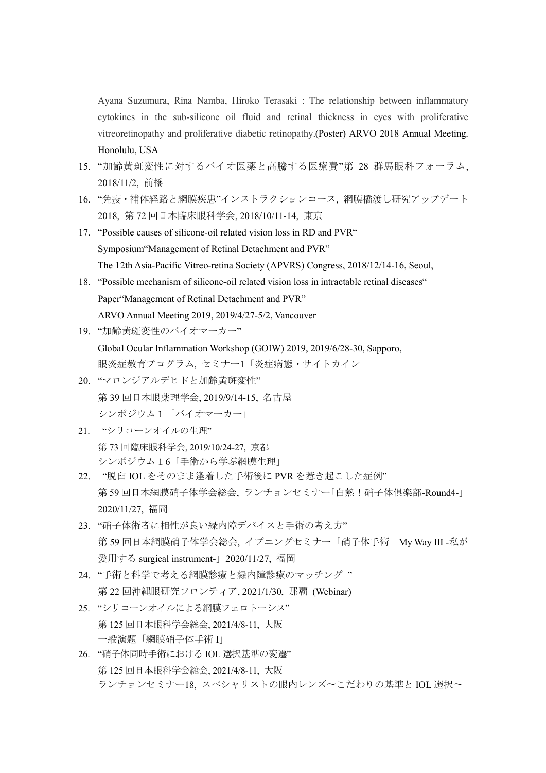Ayana Suzumura, Rina Namba, Hiroko Terasaki : The relationship between inflammatory cytokines in the sub-silicone oil fluid and retinal thickness in eyes with proliferative vitreoretinopathy and proliferative diabetic retinopathy.(Poster) ARVO 2018 Annual Meeting. Honolulu, USA

- 15. "加齢黄斑変性に対するバイオ医薬と高騰する医療費"第 28 群馬眼科フォーラム, 2018/11/2, 前橋
- 16. "免疫・補体経路と網膜疾患"インストラクションコース, 網膜橋渡し研究アップデート 2018, 第 72 回日本臨床眼科学会, 2018/10/11-14, 東京
- 17. "Possible causes of silicone-oil related vision loss in RD and PVR" Symposium"Management of Retinal Detachment and PVR" The 12th Asia-Pacific Vitreo-retina Society (APVRS) Congress, 2018/12/14-16, Seoul,
- 18. "Possible mechanism of silicone-oil related vision loss in intractable retinal diseases" Paper"Management of Retinal Detachment and PVR" ARVO Annual Meeting 2019, 2019/4/27-5/2, Vancouver
- 19. "加齢黄斑変性のバイオマーカー"

Global Ocular Inflammation Workshop (GOIW) 2019, 2019/6/28-30, Sapporo, 眼炎症教育プログラム, セミナー1「炎症病態・サイトカイン」

- 20. "マロンジアルデヒドと加齢黄斑変性" 第 39 回日本眼薬理学会, 2019/9/14-15, 名古屋 シンポジウム1「バイオマーカー」
- 21. "シリコーンオイルの生理" 第 73 回臨床眼科学会, 2019/10/24-27, 京都 シンポジウム16「手術から学ぶ網膜生理」
- 22. "脱臼 IOL をそのまま逢着した手術後に PVR を惹き起こした症例" 第59回日本網膜硝子体学会総会, ランチョンセミナー「白熱!硝子体俱楽部-Round4-」 2020/11/27, 福岡
- 23. "硝子体術者に相性が良い緑内障デバイスと手術の考え方" 第 59 回日本網膜硝子体学会総会, イブニングセミナー「硝子体手術 My Way III -私が 愛用する surgical instrument-」2020/11/27, 福岡
- 24. "手術と科学で考える網膜診療と緑内障診療のマッチング " 第 22 回沖縄眼研究フロンティア, 2021/1/30, 那覇 (Webinar)
- 25. "シリコーンオイルによる網膜フェロトーシス" 第 125 回日本眼科学会総会, 2021/4/8-11, 大阪 一般演題「網膜硝子体手術 I」
- 26. "硝子体同時手術における IOL 選択基準の変遷" 第 125 回日本眼科学会総会, 2021/4/8-11, 大阪 ランチョンセミナー18, スペシャリストの眼内レンズ〜こだわりの基準と IOL 選択〜